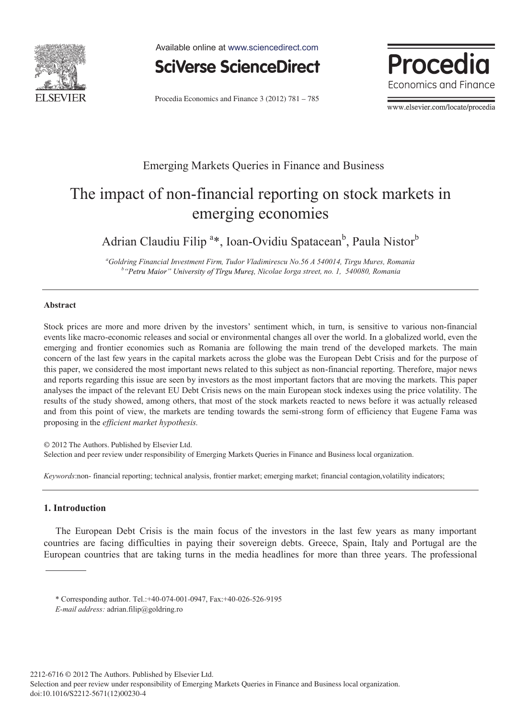

Available online at www.sciencedirect.com



Procedia Economics and Finance 3 (2012) 781 – 785

**Procedia** Economics and Finance

www.elsevier.com/locate/procedia

## Emerging Markets Queries in Finance and Business

# The impact of non-financial reporting on stock markets in emerging economies

Adrian Claudiu Filip<sup>a\*</sup>, Ioan-Ovidiu Spatacean<sup>b</sup>, Paula Nistor<sup>b</sup>

*a Goldring Financial Investment Firm, Tudor Vladimirescu No.56 A 540014, Tirgu Mures, Romania b* "Petru Maior" University of Tirgu Mureş, Nicolae Iorga street, no. 1, 540080, Romania

#### **Abstract**

Stock prices are more and more driven by the investors' sentiment which, in turn, is sensitive to various non-financial events like macro-economic releases and social or environmental changes all over the world. In a globalized world, even the emerging and frontier economies such as Romania are following the main trend of the developed markets. The main concern of the last few years in the capital markets across the globe was the European Debt Crisis and for the purpose of this paper, we considered the most important news related to this subject as non-financial reporting. Therefore, major news and reports regarding this issue are seen by investors as the most important factors that are moving the markets. This paper analyses the impact of the relevant EU Debt Crisis news on the main European stock indexes using the price volatility. The results of the study showed, among others, that most of the stock markets reacted to news before it was actually released and from this point of view, the markets are tending towards the semi-strong form of efficiency that Eugene Fama was proposing in the *efficient market hypothesis.*

© 2012 The Authors. Published by Elsevier Ltd. Selection and peer review under responsibility of Emerging Markets Queries in Finance and Business local organization.

*Keywords*:non- financial reporting; technical analysis, frontier market; emerging market; financial contagion,volatility indicators;

### **1. Introduction**

The European Debt Crisis is the main focus of the investors in the last few years as many important countries are facing difficulties in paying their sovereign debts. Greece, Spain, Italy and Portugal are the European countries that are taking turns in the media headlines for more than three years. The professional

<sup>\*</sup> Corresponding author. Tel.:+40-074-001-0947, Fax:+40-026-526-9195

*E-mail address:* adrian.filip@goldring.ro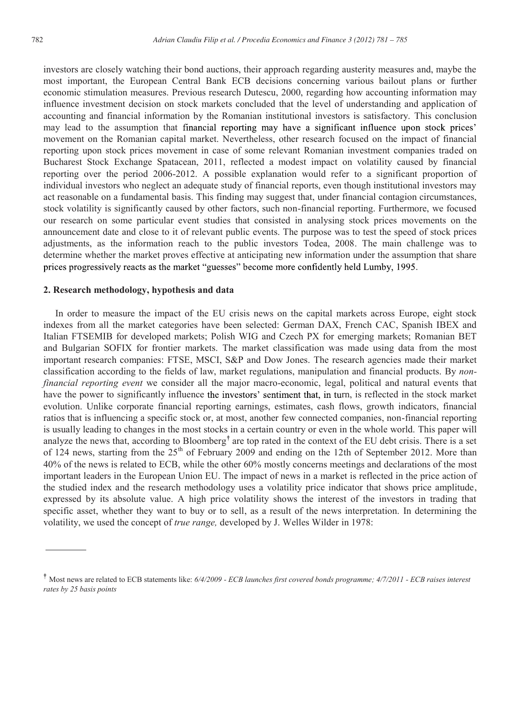investors are closely watching their bond auctions, their approach regarding austerity measures and, maybe the most important, the European Central Bank ECB decisions concerning various bailout plans or further economic stimulation measures. Previous research Dutescu, 2000, regarding how accounting information may influence investment decision on stock markets concluded that the level of understanding and application of accounting and financial information by the Romanian institutional investors is satisfactory. This conclusion may lead to the assumption that financial reporting may have a significant influence upon stock prices' movement on the Romanian capital market. Nevertheless, other research focused on the impact of financial reporting upon stock prices movement in case of some relevant Romanian investment companies traded on Bucharest Stock Exchange Spatacean, 2011, reflected a modest impact on volatility caused by financial reporting over the period 2006-2012. A possible explanation would refer to a significant proportion of individual investors who neglect an adequate study of financial reports, even though institutional investors may act reasonable on a fundamental basis. This finding may suggest that, under financial contagion circumstances, stock volatility is significantly caused by other factors, such non-financial reporting. Furthermore, we focused our research on some particular event studies that consisted in analysing stock prices movements on the announcement date and close to it of relevant public events. The purpose was to test the speed of stock prices adjustments, as the information reach to the public investors Todea, 2008. The main challenge was to determine whether the market proves effective at anticipating new information under the assumption that share prices progressively reacts as the market "guesses" become more confidently held Lumby, 1995.

### **2. Research methodology, hypothesis and data**

In order to measure the impact of the EU crisis news on the capital markets across Europe, eight stock indexes from all the market categories have been selected: German DAX, French CAC, Spanish IBEX and Italian FTSEMIB for developed markets; Polish WIG and Czech PX for emerging markets; Romanian BET and Bulgarian SOFIX for frontier markets. The market classification was made using data from the most important research companies: FTSE, MSCI, S&P and Dow Jones. The research agencies made their market classification according to the fields of law, market regulations, manipulation and financial products. By *nonfinancial reporting event* we consider all the major macro-economic, legal, political and natural events that have the power to significantly influence the investors' sentiment that, in turn, is reflected in the stock market evolution. Unlike corporate financial reporting earnings, estimates, cash flows, growth indicators, financial ratios that is influencing a specific stock or, at most, another few connected companies, non-financial reporting is usually leading to changes in the most stocks in a certain country or even in the whole world. This paper will analyze the news that, according to Bloomberg<sup>†</sup> are top rated in the context of the EU debt crisis. There is a set of 124 news, starting from the  $25<sup>th</sup>$  of February 2009 and ending on the 12th of September 2012. More than 40% of the news is related to ECB, while the other 60% mostly concerns meetings and declarations of the most important leaders in the European Union EU. The impact of news in a market is reflected in the price action of the studied index and the research methodology uses a volatility price indicator that shows price amplitude, expressed by its absolute value. A high price volatility shows the interest of the investors in trading that specific asset, whether they want to buy or to sell, as a result of the news interpretation. In determining the volatility, we used the concept of *true range,* developed by J. Welles Wilder in 1978:

Most news are related to ECB statements like: *6/4/2009 - ECB launches first covered bonds programme; 4/7/2011 - ECB raises interest rates by 25 basis points*